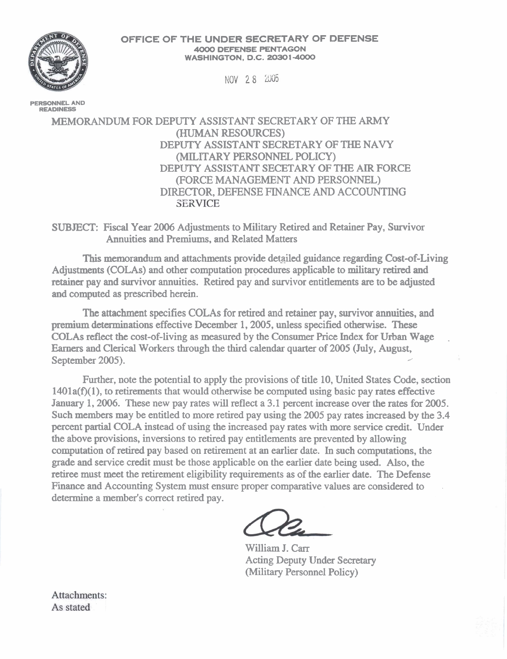**OFFICE OF THE UNDER SECRETARY OF DEFENSE 4000 DEFENSE PENTAGON WASHINGTON, D.C. 20301-4000** 

NOV 28 2005

**PERSONNEL AND READINESS** 

MEMORANDUM FOR DEPUTY ASSISTANT SECRETARY OF THE ARMY (HUMAN RESOURCES) DEPUTY ASSISTANT SECRETARY OF THE NAVY (MILITARY PERSONNEL POLICY) DEPUTY ASSISTANT SECETARY OF THE AIR FORCE (FORCE MANAGEMENT AND PERSONNEL) DIRECTOR, DEFENSE FINANCE AND ACCOUNTING

SUBJECT: Fiscal Year **2006** Adjustments to Military Retired and Retainer Pay, Survivor Annuities and Premiums, and Related Matters

This memorandum and attachments provide detailed guidance regarding Cost-of-Living Adjustments (COLAs) and other computation procedures applicable to military retired and **retainer** pay and survivor annuities. Retired pay and survivor entitlements **are** to be adjusted and computed **as** prescribed herein.

The attachment specifies COLAs for retired and retainer pay, survivor **annuities,** and premium determinations effective December 1, 2005, unless specified otherwise. These COLAs reflect the cost-of-living as measured by the Consumer Price Index for **Urban** Wage , Earners and Clerical Workers through the third calendar quarter of 2005 (July, August, September 2005).

Further, note the potential to apply the provisions of title 10, United States Code, section  $1401a(f)(1)$ , to retirements that would otherwise be computed using basic pay rates effective January 1, 2006. These new pay rates will reflect a 3.1 percent increase over the rates for 2005. Such members may be entitled to more retired pay using the 2005 pay rates increased by the 3.4 percent partial COLA instead of using the increased pay rates with more service credit. Under the above provisions, inversions to retired pay entitlements **are** prevented by allowing computation of retired pay based on retirement at an earlier **date.** In such computations, the grade and service credit must be those applicable on the earlier date being used. Also, the retiree must meet the retirement eligibility requirements as of the earlier date. The Defense Finance and Accounting System must ensure proper comparative values are considered to determine a member's correct retired pay.

William J. Carr Acting Deputy Under Secretary (Military Personnel Policy)

Attachments: As stated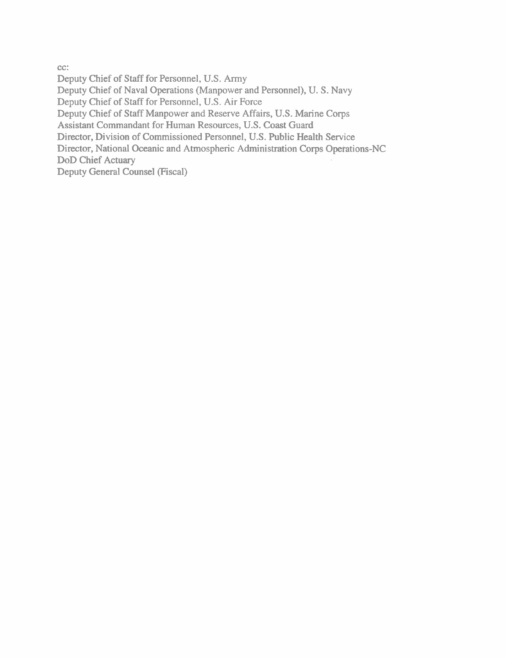cc:

Deputy Chief of Staff for Personnel, U.S. Army Deputy Chief of Naval Operations (Manpower and Personnel), U. S. Navy Deputy Chief of Staff for Personnel, U.S. Air Force Deputy Chief of Staff Manpower and Reserve Affairs, U.S. Marine Corps Assistant Commandant for Human Resources, U.S. Coast Guard Director, Division of Commissioned Personnel, U.S. Public Health Service Director, National Oceanic and Atmospheric Administration Corps Operations-NC DoD Chief Actuary Deputy General Counsel (Fiscal)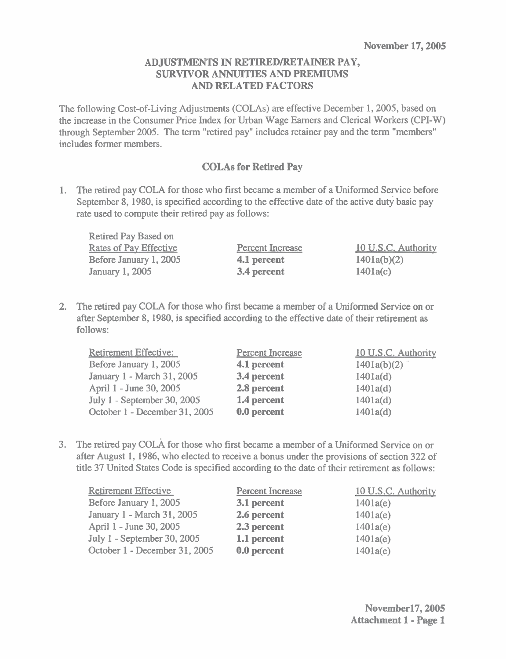#### **ADJUSTMENTS IN RETIREDIRETAINER PAY, SURVIVOR ANNUITIES AND PREMIUMS AND RELATED FACTORS**

The following Cost-of-Living Adjustments (COLAs) are effective December 1, 2005, based on the increase in the Consumer Price Index for Urban Wage Earners and Clerical Workers (CPI-W) through September 2005. The term "retired pay" includes retainer pay and the term "members" includes former members.

### **COLAs for Retired Pay**

1. The retired pay COLA for those who first became a member of a Uniformed Service before September 8, 1980, is specified according to the effective date of the active duty basic pay rate used to compute their retired pay as follows:

| Retired Pay Based on          |                         |                     |
|-------------------------------|-------------------------|---------------------|
| <b>Rates of Pay Effective</b> | <b>Percent Increase</b> | 10 U.S.C. Authority |
| Before January 1, 2005        | 4.1 percent             | 1401a(b)(2)         |
| <b>January 1, 2005</b>        | 3.4 percent             | 1401a(c)            |

2. The retired pay COLA for those who first became a member of a Uniformed Service on or after September 8, 1980, is specified according to the effective date of their retirement as follows:

| Retirement Effective:         | <b>Percent Increase</b> | 10 U.S.C. Authority |
|-------------------------------|-------------------------|---------------------|
| Before January 1, 2005        | 4.1 percent             | 1401a(b)(2)         |
| January 1 - March 31, 2005    | 3.4 percent             | 1401a(d)            |
| April 1 - June 30, 2005       | 2.8 percent             | 1401a(d)            |
| July 1 - September 30, 2005   | 1.4 percent             | 1401a(d)            |
| October 1 - December 31, 2005 | 0.0 percent             | 1401a(d)            |

3. The retired pay COLA for those who first became a member of a Uniformed Service on or after August 1, 1986, who elected to receive a bonus under the provisions of section 322 of title 37 United States Code is specified according to the date of their retirement as follows:

| Retirement Effective          | <b>Percent Increase</b> | 10 U.S.C. Authority |
|-------------------------------|-------------------------|---------------------|
| Before January 1, 2005        | $3.1$ percent           | 1401a(e)            |
| January 1 - March 31, 2005    | 2.6 percent             | 1401a(e)            |
| April 1 - June 30, 2005       | 2.3 percent             | 1401a(e)            |
| July 1 - September 30, 2005   | 1.1 percent             | 1401a(e)            |
| October 1 - December 31, 2005 | 0.0 percent             | 1401a(e)            |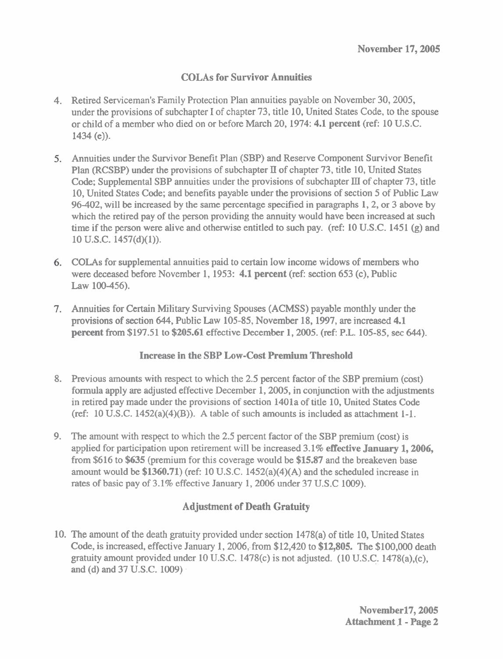## **COLAs for Survivor Annuities**

- 4. Retired Serviceman's Family Protection Plan annuities payable on November 30,2005, under the provisions of subchapter I of chapter 73, title 10, United States Code, to the spouse or child of a member who died on or before March 20,1974: 4.1 **percent** (ref: 10 U.S.C. 1434 (e)).
- Annuities under the Survivor Benefit Plan (SBP) and Reserve Component Survivor Benefit Plan (RCSBP) under the provisions of subchapter **Il** of chapter 73, title 10, United States Code; Supplemental SBP annuities under the provisions of subchapter **III** of chapter 73, title 10, United States Code; and benefits payable under the provisions of section 5 of Public Law 96-402, will be increased by the same percentage specified in paragraphs 1,2, or 3 above by which the retired pay of the person providing the annuity would have been increased at such time if the person were alive and otherwise entitled to such pay. (ref: 10 U.S.C. 1451 **(g)** and 10 **U.S.C.** 1457(d)(l)).
- COLAs for supplemental annuities paid to certain low income widows of members who were deceased before November 1,1953: **4.1 percent** (ref: section 653 (c), Public **Law** 100-456).
- Annuities for Certain Military Surviving Spouses (ACMSS) payable monthly under the provisions of section 644, Public Law 105-85, November 18,1997, are increased 4.1 **percent** from \$197.51 to \$205.61 effective December 1, 2005. (ref: P.L. 105-85, sec 644).

### **Increase in the SBP Low-Cost Premium Threshold**

- 8. Previous amounts with respect to which the 2.5 percent factor of the SBP premium (cost) formula apply are adjusted effective December 1,2005, in conjunction with the adjustments in retired pay made under the provisions of section 1401a of title 10, United States Code (ref: 10 U.S.C. 1452(a)(4)(B)). A table of such amounts is included as attachment 1-1.
- 9. The amount with respect to which the 2.5 percent factor of the SBP premium (cost) is applied for participation upon retirement will be increased 3.1% **effective January 1,2006,**  from \$616 to **\$635** (premium for this coverage would be \$15.87 and the breakeven base amount would be \$1360.71) (ref: 10 U.S.C. 1452(a)(4)(A) and the scheduled increase in rates of basic pay of 3.1% effective January 1, 2006 under 37 U.S.C 1009).

# **Adjustment of Death Gratuity**

10. The amount of the death gratuity provided under section 1478(a) of title 10, United States Code, is increased, effective January 1,2006, from \$12,420 to **\$12,805.** The \$100,000 death gratuity amount provided under 10 U.S.C. 1478(c) is not adjusted. (10 U.S.C. 1478(a),(c), and (d) and 37 U.S.C. 1009)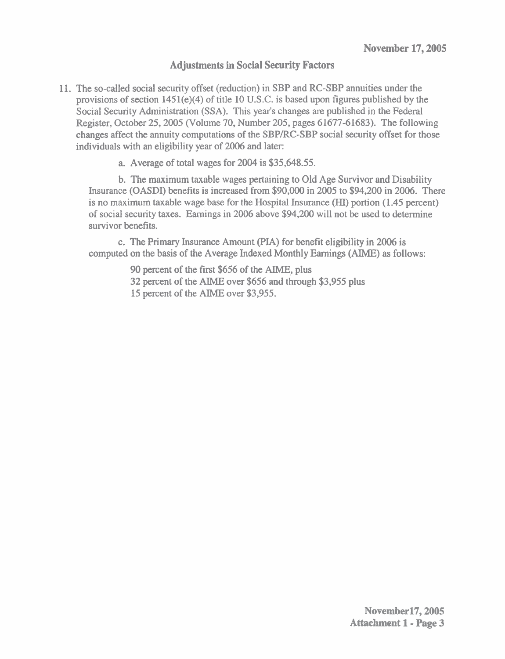#### **Adjustments in Social Security Factors**

11. The so-called social security offset (reduction) in SBP and RC-SBP annuities under the provisions of section 145l(e)(4) of title 10 U.S.C. is based upon figures published by the Social Security Administration (SSA). This year's changes **are** published in the Federal Register, October 25,2005 (Volume 70, Number 205, pages 61677-61683). The following changes affect the annuity computations of the SBPIRC-SBP social security offset for those individuals with an eligibility year of 2006 and later:

a. Average of total wages for 2004 is \$35,648.55.

b. The maximum taxable wages pertaining to Old Age Survivor and Disability Insurance (OASDI) benefits is increased from \$90,000 in 2005 to \$94,200 in 2006. There is no maximum taxable wage base for the Hospital Insurance (HI) portion (1.45 percent) of social security taxes. Earnings in 2006 above \$94,200 will not be used to determine survivor benefits.

c. The Primary Insurance Amount (PIA) for benefit eligibility in 2006 is computed on the basis of the Average Indexed Monthly Earnings (AIME) as follows:

90 percent of the first \$656 of the AIME, plus

32 percent of the AIME over \$656 and through \$3,955 plus

15 percent of the **AlME** over \$3,955.